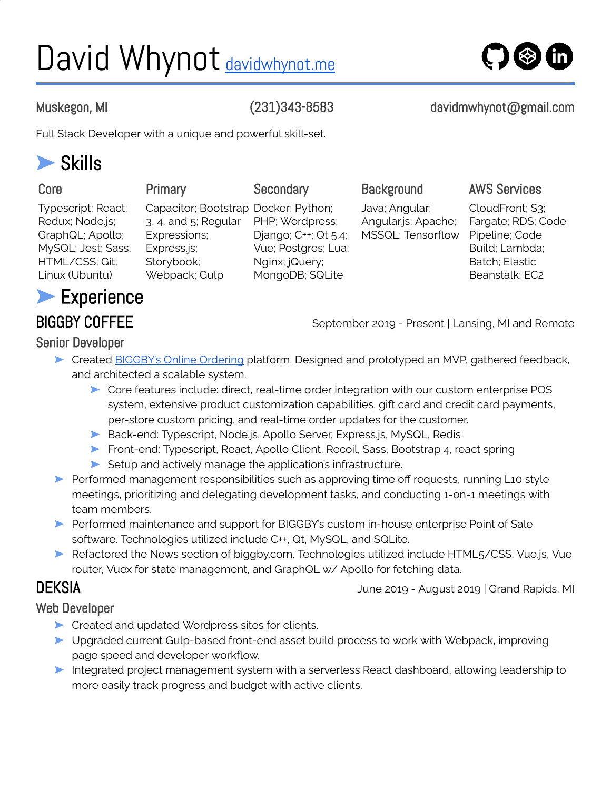# David Whynot **[davidwhynot.me](https://davidwhynot.me/)**



Muskegon, MI (231)343-8583 davidmwhynot@gmail.com

Full Stack Developer with a unique and powerful skill-set.

## ➤ Skills

| Core                                                                                                                | Primary                                                                                                                          | Secondary                                                                                           | <b>Background</b>                                          | <b>AWS Services</b>                                                                                           |
|---------------------------------------------------------------------------------------------------------------------|----------------------------------------------------------------------------------------------------------------------------------|-----------------------------------------------------------------------------------------------------|------------------------------------------------------------|---------------------------------------------------------------------------------------------------------------|
| Typescript; React;<br>Redux; Node.js;<br>GraphQL; Apollo;<br>MySQL; Jest; Sass;<br>HTML/CSS; Git;<br>Linux (Ubuntu) | Capacitor; Bootstrap Docker; Python;<br>$3, 4$ , and $5$ ; Regular<br>Expressions;<br>Express.js;<br>Storybook;<br>Webpack; Gulp | PHP; Wordpress;<br>Django; C++; Qt 5.4;<br>Vue; Postgres; Lua;<br>Nginx; jQuery;<br>MongoDB; SQLite | Java; Angular;<br>Angular.js; Apache;<br>MSSQL; Tensorflow | CloudFront; S3;<br>Fargate; RDS; Code<br>Pipeline; Code<br>Build; Lambda;<br>Batch; Elastic<br>Beanstalk; EC2 |
| Experience                                                                                                          |                                                                                                                                  |                                                                                                     |                                                            |                                                                                                               |

### Senior Developer

BIGGBY COFFEE September 2019 - Present | Lansing, MI and Remote

- ► Created **[BIGGBY's](https://app.biggby.com/) Online Ordering platform**. Designed and prototyped an MVP, gathered feedback, and architected a scalable system.
	- ➤ Core features include: direct, real-time order integration with our custom enterprise POS system, extensive product customization capabilities, gift card and credit card payments, per-store custom pricing, and real-time order updates for the customer.
	- ▶ Back-end: Typescript, Node.js, Apollo Server, Express.js, MySQL, Redis
	- ➤ Front-end: Typescript, React, Apollo Client, Recoil, Sass, Bootstrap 4, react spring
	- ► Setup and actively manage the application's infrastructure.
- ▶ Performed management responsibilities such as approving time off requests, running L10 style meetings, prioritizing and delegating development tasks, and conducting 1-on-1 meetings with team members.
- ➤ Performed maintenance and support for BIGGBY's custom in-house enterprise Point of Sale software. Technologies utilized include C++, Qt, MySQL, and SQLite.
- ➤ Refactored the News section of biggby.com. Technologies utilized include HTML5/CSS, Vue.js, Vue router, Vuex for state management, and GraphQL w/ Apollo for fetching data.

DEKSIA June <sup>2019</sup> - August <sup>2019</sup> <sup>|</sup> Grand Rapids, MI

### Web Developer

- ➤ Created and updated Wordpress sites for clients.
- ➤ Upgraded current Gulp-based front-end asset build process to work with Webpack, improving page speed and developer workflow.
- ➤ Integrated project management system with a serverless React dashboard, allowing leadership to more easily track progress and budget with active clients.